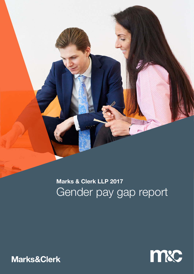

# **Marks & Clerk LLP 2017** Gender pay gap report



Marks&Clerk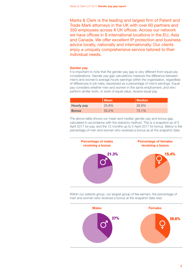Marks & Clerk is the leading and largest firm of Patent and Trade Mark attorneys in the UK with over 60 partners and 350 employees across 8 UK offices. Across our network we have offices in 8 international locations in the EU, Asia and Canada. We offer excellent IP protection and business advice locally, nationally and internationally. Our clients enjoy a uniquely comprehensive service tailored to their individual needs.

## **Gender pay**

It is important to note that the gender pay gap is very different from equal pay considerations. Gender pay gap calculations measure the difference between men's and women's average hourly earnings within the organisation, regardless of differences in job roles, expressed as a percentage of men's earnings. Equal pay considers whether men and women in the same employment, and who perform similar work, or work of equal value, receive equal pay.

|                   | <b>Mean</b> | Median |
|-------------------|-------------|--------|
| <b>Hourly pay</b> | 25.8%       | 26.9%  |
| <b>Bonus</b>      | 53.2%       | 73.1%  |

The above table shows our mean and median gender pay and bonus gap, calculated in accordance with the statutory method. This is a snapshot as of 5 April 2017 for pay, and the 12 months up to 5 April 2017 for bonus. Below is the percentage of men and women who received a bonus as at the snapshot date.



Within our patents group, our largest group of fee earners, the percentage of men and women who received a bonus at the snapshot date was:

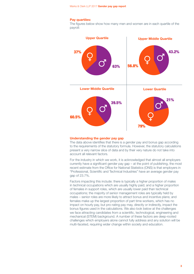# **Pay quartiles:**

The figures below show how many men and women are in each quartile of the payroll:



#### **Understanding the gender pay gap**

The data above identifies that there is a gender pay and bonus gap according to the requirements of the statutory formula. However, the statutory calculations present a very narrow slice of data and by their very nature do not take into account all relevant factors.

For the industry in which we work, it is acknowledged that almost all employers currently have a significant gender pay gap – at the point of publishing, the most recent estimate from the Office for National Statistics (ONS) is that employers in "Professional, Scientific and Technical Industries" have an average gender pay gap of 23.7%.

Factors impacting this include: there is typically a higher proportion of males in technical occupations which are usually highly paid; and a higher proportion of females in support roles, which are usually lower paid than technical occupations; the majority of senior management roles are typically held by males – senior roles are more likely to attract bonus and incentive plans; and females make up the largest proportion of part time workers, which has no impact on hourly pay, but pro-rating pay may, directly or indirectly, impact the bonus figures used in the calculations. We also look below at the challenges we face attracting candidates from a scientific, technological, engineering and mechanical (STEM) background. A number of these factors are deep-rooted challenges which employers alone cannot fully address and any solution will be multi-faceted, requiring wider change within society and education.